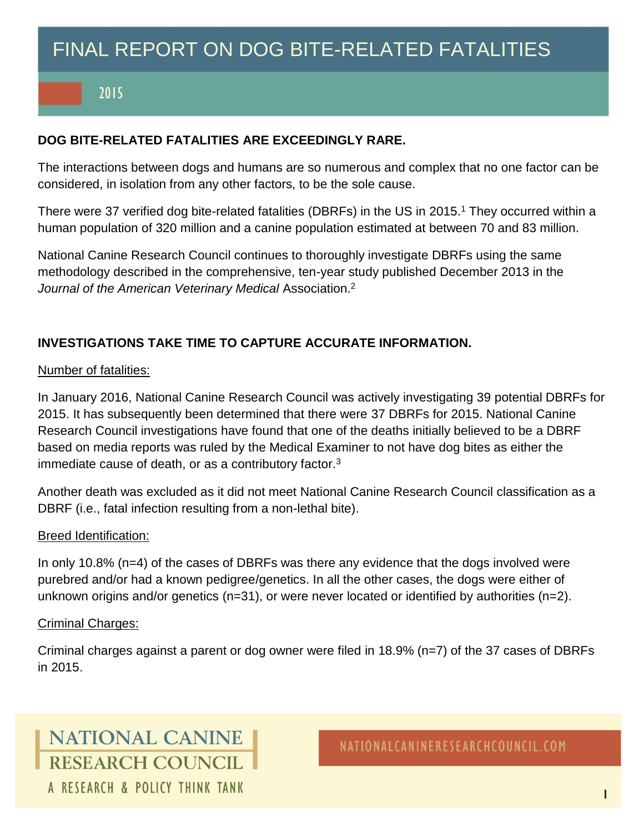# FINAL REPORT ON DOG BITE-RELATED FATALITIES

## 2015

### **DOG BITE-RELATED FATALITIES ARE EXCEEDINGLY RARE.**

The interactions between dogs and humans are so numerous and complex that no one factor can be considered, in isolation from any other factors, to be the sole cause.

There were 37 verified dog bite-related fatalities (DBRFs) in the US in 2015.<sup>1</sup> They occurred within a human population of 320 million and a canine population estimated at between 70 and 83 million.

National Canine Research Council continues to thoroughly investigate DBRFs using the same methodology described in the comprehensive, ten-year study published December 2013 in the *Journal of the American Veterinary Medical* Association. 2

### **INVESTIGATIONS TAKE TIME TO CAPTURE ACCURATE INFORMATION.**

#### Number of fatalities:

In January 2016, National Canine Research Council was actively investigating 39 potential DBRFs for 2015. It has subsequently been determined that there were 37 DBRFs for 2015. National Canine Research Council investigations have found that one of the deaths initially believed to be a DBRF based on media reports was ruled by the Medical Examiner to not have dog bites as either the immediate cause of death, or as a contributory factor.<sup>3</sup>

Another death was excluded as it did not meet National Canine Research Council classification as a DBRF (i.e., fatal infection resulting from a non-lethal bite).

#### Breed Identification:

In only 10.8% (n=4) of the cases of DBRFs was there any evidence that the dogs involved were purebred and/or had a known pedigree/genetics. In all the other cases, the dogs were either of unknown origins and/or genetics (n=31), or were never located or identified by authorities (n=2).

#### Criminal Charges:

Criminal charges against a parent or dog owner were filed in 18.9% (n=7) of the 37 cases of DBRFs in 2015.

## **NATIONAL CANINE** RESEARCH COUNCIL A RESEARCH & POLICY THINK TANK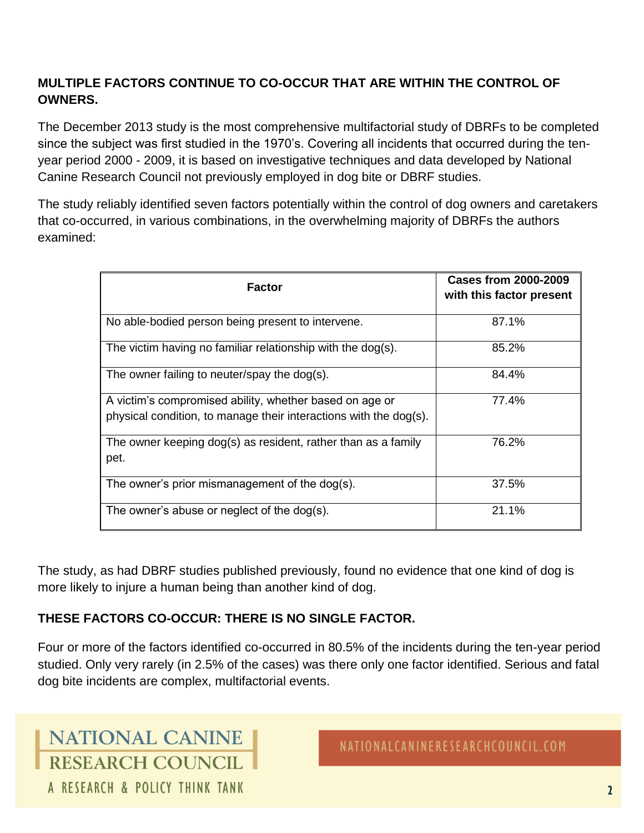## **MULTIPLE FACTORS CONTINUE TO CO-OCCUR THAT ARE WITHIN THE CONTROL OF OWNERS.**

The December 2013 study is the most comprehensive multifactorial study of DBRFs to be completed since the subject was first studied in the 1970's. Covering all incidents that occurred during the tenyear period 2000 - 2009, it is based on investigative techniques and data developed by National Canine Research Council not previously employed in dog bite or DBRF studies.

The study reliably identified seven factors potentially within the control of dog owners and caretakers that co-occurred, in various combinations, in the overwhelming majority of DBRFs the authors examined:

| <b>Factor</b>                                                                                                                | <b>Cases from 2000-2009</b><br>with this factor present |
|------------------------------------------------------------------------------------------------------------------------------|---------------------------------------------------------|
| No able-bodied person being present to intervene.                                                                            | 87.1%                                                   |
| The victim having no familiar relationship with the dog(s).                                                                  | 85.2%                                                   |
| The owner failing to neuter/spay the dog(s).                                                                                 | 84.4%                                                   |
| A victim's compromised ability, whether based on age or<br>physical condition, to manage their interactions with the dog(s). | 77.4%                                                   |
| The owner keeping dog(s) as resident, rather than as a family<br>pet.                                                        | 76.2%                                                   |
| The owner's prior mismanagement of the dog(s).                                                                               | 37.5%                                                   |
| The owner's abuse or neglect of the dog(s).                                                                                  | 21.1%                                                   |

The study, as had DBRF studies published previously, found no evidence that one kind of dog is more likely to injure a human being than another kind of dog.

## **THESE FACTORS CO-OCCUR: THERE IS NO SINGLE FACTOR.**

Four or more of the factors identified co-occurred in 80.5% of the incidents during the ten-year period studied. Only very rarely (in 2.5% of the cases) was there only one factor identified. Serious and fatal dog bite incidents are complex, multifactorial events.

**NATIONAL CANINE** RESEARCH COUNCIL A RESEARCH & POLICY THINK TANK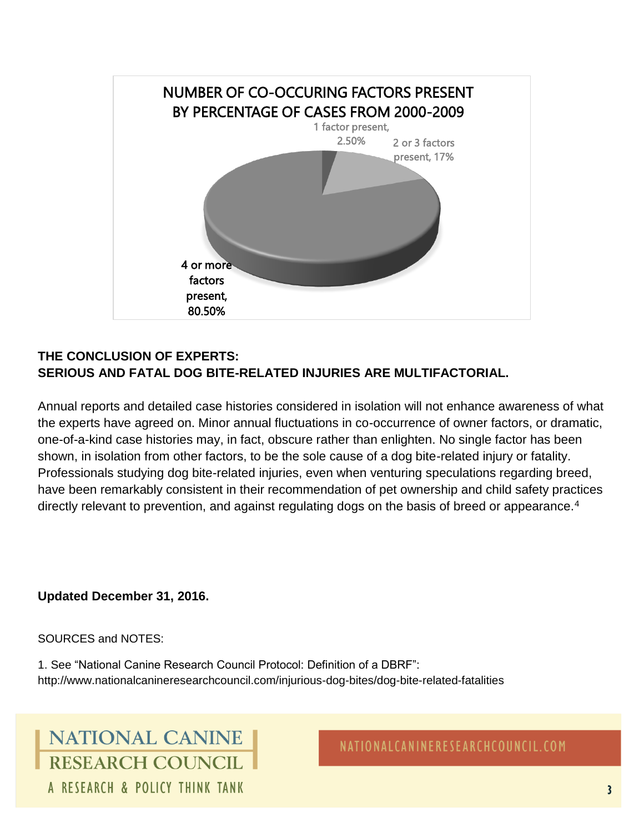

## **THE CONCLUSION OF EXPERTS: SERIOUS AND FATAL DOG BITE-RELATED INJURIES ARE MULTIFACTORIAL.**

Annual reports and detailed case histories considered in isolation will not enhance awareness of what the experts have agreed on. Minor annual fluctuations in co-occurrence of owner factors, or dramatic, one-of-a-kind case histories may, in fact, obscure rather than enlighten. No single factor has been shown, in isolation from other factors, to be the sole cause of a dog bite-related injury or fatality. Professionals studying dog bite-related injuries, even when venturing speculations regarding breed, have been remarkably consistent in their recommendation of pet ownership and child safety practices directly relevant to prevention, and against regulating dogs on the basis of breed or appearance.<sup>4</sup>

### **Updated December 31, 2016.**

#### SOURCES and NOTES:

1. See "National Canine Research Council Protocol: Definition of a DBRF": http://www.nationalcanineresearchcouncil.com/injurious-dog-bites/dog-bite-related-fatalities

## **NATIONAL CANINE RESEARCH COUNCIL** A RESEARCH & POLICY THINK TANK